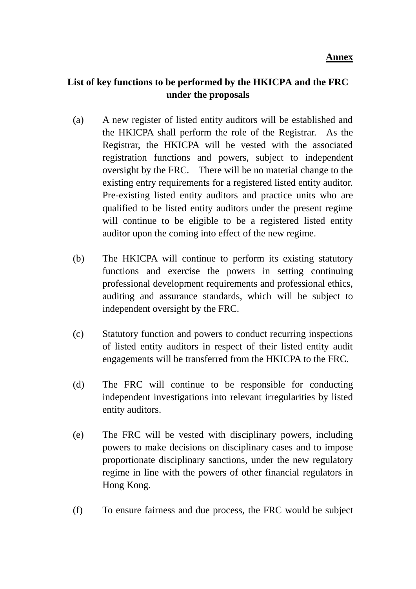## **List of key functions to be performed by the HKICPA and the FRC under the proposals**

- (a) A new register of listed entity auditors will be established and the HKICPA shall perform the role of the Registrar. As the Registrar, the HKICPA will be vested with the associated registration functions and powers, subject to independent oversight by the FRC. There will be no material change to the existing entry requirements for a registered listed entity auditor. Pre-existing listed entity auditors and practice units who are qualified to be listed entity auditors under the present regime will continue to be eligible to be a registered listed entity auditor upon the coming into effect of the new regime.
- (b) The HKICPA will continue to perform its existing statutory functions and exercise the powers in setting continuing professional development requirements and professional ethics, auditing and assurance standards, which will be subject to independent oversight by the FRC.
- (c) Statutory function and powers to conduct recurring inspections of listed entity auditors in respect of their listed entity audit engagements will be transferred from the HKICPA to the FRC.
- (d) The FRC will continue to be responsible for conducting independent investigations into relevant irregularities by listed entity auditors.
- (e) The FRC will be vested with disciplinary powers, including powers to make decisions on disciplinary cases and to impose proportionate disciplinary sanctions, under the new regulatory regime in line with the powers of other financial regulators in Hong Kong.
- (f) To ensure fairness and due process, the FRC would be subject